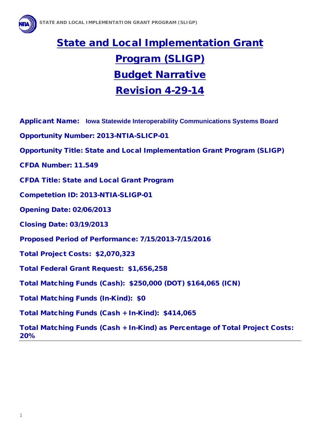

# State and Local Implementation Grant Program (SLIGP) Budget Narrative Revision 4-29-14

- Applicant Name: **Iowa Statewide Interoperability Communications Systems Board**
- Opportunity Number: 2013-NTIA-SLICP-01
- Opportunity Title: State and Local Implementation Grant Program (SLIGP)
- CFDA Number: 11.549
- CFDA Title: State and Local Grant Program
- Competetion ID: 2013-NTIA-SLIGP-01
- Opening Date: 02/06/2013
- Closing Date: 03/19/2013
- Proposed Period of Performance: 7/15/2013-7/15/2016
- Total Project Costs: \$2,070,323
- Total Federal Grant Request: \$1,656,258
- Total Matching Funds (Cash): \$250,000 (DOT) \$164,065 (ICN)
- Total Matching Funds (In-Kind): \$0
- Total Matching Funds (Cash + In-Kind): \$414,065

Total Matching Funds (Cash + In-Kind) as Percentage of Total Project Costs: 20%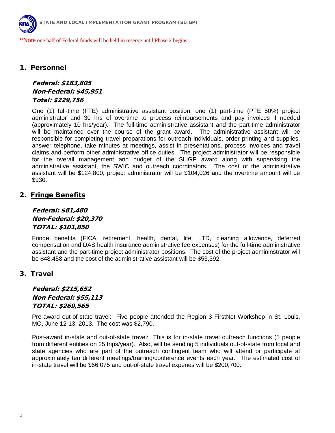

\*Note one half of Federal funds will be held in reserve until Phase 2 begins.

#### 1. Personnel

# Federal: \$183,805 Non-Federal: \$45,951 Total: \$229,756

One (1) full-time (FTE) administrative assistant position, one (1) part-time (PTE 50%) project administrator and 30 hrs of overtime to process reimbursements and pay invoices if needed (approximately 10 hrs/year). The full-time administrative assistant and the part-time administrator will be maintained over the course of the grant award. The administrative assistant will be responsible for completing travel preparations for outreach individuals, order printing and supplies, answer telephone, take minutes at meetings, assist in presentations, process invoices and travel claims and perform other administrative office duties. The project administrator will be responsible for the overall management and budget of the SLIGP award along with supervising the administrative assistant, the SWIC and outreach coordinators. The cost of the administrative assistant will be \$124,800, project administrator will be \$104,026 and the overtime amount will be \$930.

#### 2. Fringe Benefits

Federal: \$81,480 Non-Federal: \$20,370 TOTAL: \$101,850

Fringe benefits (FICA, retirement, health, dental, life, LTD, cleaning allowance, deferred compensation and DAS health insurance administrative fee expenses) for the full-time administrative assistant and the part-time project administrator positions. The cost of the project admininstrator will be \$48,458 and the cost of the administrative assistant will be \$53,392.

#### 3. Travel

# Federal: \$215,652 Non Federal: \$55,113 TOTAL: \$269,565

Pre-award out-of-state travel: Five people attended the Region 3 FirstNet Workshop in St. Louis, MO, June 12-13, 2013. The cost was \$2,790.

Post-award in-state and out-of-state travel: This is for in-state travel outreach functions (5 people from different entities on 25 trips/year). Also, will be sending 5 individuals out-of-state from local and state agencies who are part of the outreach contingent team who will attend or participate at approximately ten different meetings/training/conference events each year. The estimated cost of in-state travel will be \$66,075 and out-of-state travel expenes will be \$200,700.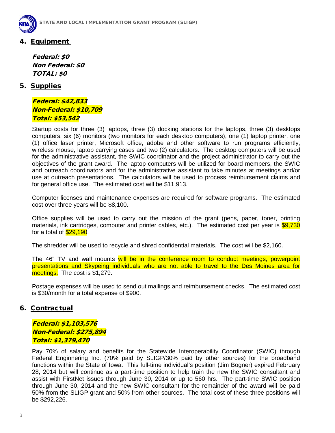

# 4. Equipment

Federal: \$0 Non Federal: \$0 TOTAL: \$0

### 5. Supplies

Federal: \$42,833 Non-Federal: \$10,709 Total: \$53,542

Startup costs for three (3) laptops, three (3) docking stations for the laptops, three (3) desktops computers, six (6) monitors (two monitors for each desktop computers), one (1) laptop printer, one (1) office laser printer, Microsoft office, adobe and other software to run programs efficiently, wireless mouse, laptop carrying cases and two (2) calculators. The desktop computers will be used for the administrative assistant, the SWIC coordinator and the project administrator to carry out the objectives of the grant award. The laptop computers will be utilized for board members, the SWIC and outreach coordinators and for the administrative assistant to take minutes at meetings and/or use at outreach presentations. The calculators will be used to process reimbursement claims and for general office use. The estimated cost will be \$11,913.

Computer licenses and maintenance expenses are required for software programs. The estimated cost over three years will be \$8,100.

Office supplies will be used to carry out the mission of the grant (pens, paper, toner, printing materials, ink cartridges, computer and printer cables, etc.). The estimated cost per year is \$9,730 for a total of \$29,190.

The shredder will be used to recycle and shred confidential materials. The cost will be \$2,160.

The 46" TV and wall mounts will be in the conference room to conduct meetings, powerpoint presentations and Skypeing individuals who are not able to travel to the Des Moines area for meetings. The cost is \$1,279.

Postage expenses will be used to send out mailings and reimbursement checks. The estimated cost is \$30/month for a total expense of \$900.

### 6. Contractual

Federal: \$1,103,576 Non-Federal: \$275,894 Total: \$1,379,470

Pay 70% of salary and benefits for the Statewide Interoperability Coordinator (SWIC) through Federal Enginnering Inc. (70% paid by SLIGP/30% paid by other sources) for the broadband functions within the State of Iowa. This full-time individual's position (Jim Bogner) expired February 28, 2014 but will continue as a part-time position to help train the new the SWIC consultant and assist with FirstNet issues through June 30, 2014 or up to 560 hrs. The part-time SWIC position through June 30, 2014 and the new SWIC consultant for the remainder of the award will be paid 50% from the SLIGP grant and 50% from other sources. The total cost of these three positions will be \$292,226.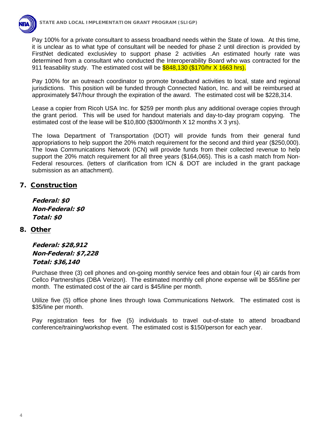

Pay 100% for a private consultant to assess broadband needs within the State of Iowa. At this time, it is unclear as to what type of consultant will be needed for phase 2 until direction is provided by FirstNet dedicated exclusivley to support phase 2 activities .An estimated hourly rate was determined from a consultant who conducted the Interoperability Board who was contracted for the 911 feasability study. The estimated cost will be \$848,130 (\$170/hr X 1663 hrs).

Pay 100% for an outreach coordinator to promote broadband activities to local, state and regional jurisdictions. This position will be funded through Connected Nation, Inc. and will be reimbursed at approximately \$47/hour through the expiration of the award. The estimated cost will be \$228,314.

Lease a copier from Ricoh USA Inc. for \$259 per month plus any additional overage copies through the grant period. This will be used for handout materials and day-to-day program copying. The estimated cost of the lease will be \$10,800 (\$300/month X 12 months X 3 yrs).

The Iowa Department of Transportation (DOT) will provide funds from their general fund appropriations to help support the 20% match requirement for the second and third year (\$250,000). The Iowa Communications Network (ICN) will provide funds from their collected revenue to help support the 20% match requirement for all three years (\$164,065). This is a cash match from Non-Federal resources. (letters of clarification from ICN & DOT are included in the grant package submission as an attachment).

# 7. Construction

Federal: \$0 Non-Federal: \$0 Total: \$0

### 8. Other

Federal: \$28,912 Non-Federal: \$7,228 Total: \$36,140

Purchase three (3) cell phones and on-going monthly service fees and obtain four (4) air cards from Cellco Partnerships (DBA Verizon). The estimated monthly cell phone expense will be \$55/line per month. The estimated cost of the air card is \$45/line per month.

Utilize five (5) office phone lines through Iowa Communications Network. The estimated cost is \$35/line per month.

Pay registration fees for five (5) individuals to travel out-of-state to attend broadband conference/training/workshop event. The estimated cost is \$150/person for each year.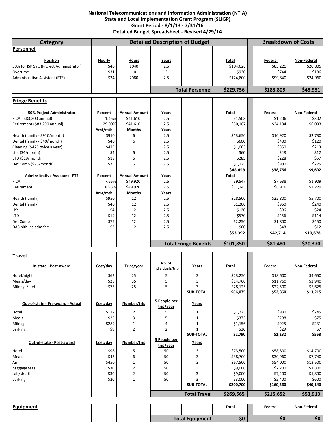#### **National Telecommunications and Information Administration (NTIA) State and Local Implementation Grant Program (SLIGP) Grant Period ‐ 8/1/13 ‐ 7/31/16 Detailed Budget Spreadsheet ‐ Revised 4/29/14**

| Category                                             |                  | <b>Detailed Description of Budget</b> | <b>Breakdown of Costs</b> |                              |                      |                       |                         |
|------------------------------------------------------|------------------|---------------------------------------|---------------------------|------------------------------|----------------------|-----------------------|-------------------------|
| <b>Personnel</b>                                     |                  |                                       |                           |                              |                      |                       |                         |
|                                                      |                  |                                       |                           |                              |                      |                       |                         |
| Position<br>50% for ISP Sgt. (Project Administrator) | Hourly<br>\$40   | <b>Hours</b><br>1040                  | Years<br>2.5              |                              | Total<br>\$104,026   | Federal<br>\$83,221   | Non-Federal<br>\$20,805 |
| Overtime                                             | \$31             | 10                                    | 3                         |                              | \$930                | \$744                 | \$186                   |
| Administrative Assistant (FTE)                       | \$24             | 2080                                  | 2.5                       |                              | \$124,800            | \$99,840              | \$24,960                |
|                                                      |                  |                                       |                           |                              |                      |                       |                         |
|                                                      |                  |                                       |                           | <b>Total Personnel</b>       | \$229,756            | \$183,805             | \$45,951                |
| <b>Fringe Benefits</b>                               |                  |                                       |                           |                              |                      |                       |                         |
|                                                      |                  |                                       |                           |                              |                      |                       |                         |
| 50% Project Administrator<br>FICA (\$83,200 annual)  | Percent<br>1.45% | <b>Annual Amount</b><br>\$41,610      | Years<br>2.5              |                              | Total<br>\$1,508     | Federal<br>\$1,206    | Non-Federal<br>\$302    |
| Retirement (\$83,200 annual)                         | 29.00%           | \$41,610                              | 2.5                       |                              | \$30,167             | \$24,134              | \$6,033                 |
|                                                      | Amt/mth          | <b>Months</b>                         | Years                     |                              |                      |                       |                         |
| Health (family - \$910/month)                        | \$910            | 6                                     | 2.5                       |                              | \$13,650             | \$10,920              | \$2,730                 |
| Dental (family - \$40/month)                         | \$40             | 6                                     | 2.5                       |                              | \$600                | \$480                 | \$120                   |
| Cleaning (\$425 twice a year)                        | \$425            | $\mathbf{1}$                          | 2.5                       |                              | \$1,063              | \$850                 | \$213                   |
| Life (\$4/month)                                     | \$4              | 6                                     | 2.5                       |                              | \$60                 | \$48                  | \$12                    |
| LTD (\$19/month)                                     | \$19             | 6                                     | 2.5                       |                              | \$285                | \$228                 | \$57                    |
| Def Comp (\$75/month)                                | \$75             | 6                                     | 2.5                       |                              | \$1,125              | \$900                 | \$225                   |
|                                                      |                  |                                       |                           |                              | \$48,458             | \$38,766              | \$9,692                 |
| <b>Adminsitrative Assistant - FTE</b>                | Percent          | <b>Annual Amount</b>                  | <u>Years</u>              |                              | <b>Total</b>         |                       |                         |
| <b>FICA</b>                                          | 7.65%            | \$49,920                              | 2.5                       |                              | \$9,547              | \$7,638               | \$1,909                 |
| Retirement                                           | 8.93%            | \$49,920                              | 2.5                       |                              | \$11,145             | \$8,916               | \$2,229                 |
|                                                      | Amt/mth          | <b>Months</b>                         | <u>Years</u>              |                              |                      |                       |                         |
| Health (family)                                      | \$950            | 12                                    | 2.5                       |                              | \$28,500             | \$22,800              | \$5,700                 |
| Dental (family)<br>Life                              | \$40<br>\$4      | 12<br>12                              | 2.5<br>2.5                |                              | \$1,200<br>\$120     | \$960<br>\$96         | \$240<br>\$24           |
| <b>LTD</b>                                           | \$19             | 12                                    | 2.5                       |                              | \$570                | \$456                 | \$114                   |
| Def Comp                                             | \$75             | 12                                    | 2.5                       |                              | \$2,250              | \$1,800               | \$450                   |
| DAS hlth ins adm fee                                 | \$2              | 12                                    | 2.5                       |                              | \$60                 | \$48                  | \$12                    |
|                                                      |                  |                                       |                           |                              |                      |                       |                         |
|                                                      |                  |                                       |                           |                              | \$53,392             | \$42,714              | \$10,678                |
|                                                      |                  |                                       |                           | <b>Total Fringe Benefits</b> | \$101,850            | \$81,480              | \$20,370                |
|                                                      |                  |                                       |                           |                              |                      |                       |                         |
| <b>Travel</b>                                        |                  |                                       |                           |                              |                      |                       |                         |
| In-state - Post-award                                | Cost/day         | Trips/year                            | No. of                    | Years                        | Total                | Federal               | Non-Federal             |
|                                                      |                  |                                       | individuals/trip          |                              |                      |                       |                         |
| Hotel/night                                          | \$62             | 25                                    | 5                         | 3                            | \$23,250             | \$18,600              | \$4,650                 |
| Meals/day                                            | \$28             | 35<br>25                              | 5<br>5                    | 3<br>3                       | \$14,700             | \$11,760              | \$2,940                 |
| Mileage/fuel                                         | \$75             |                                       |                           | <b>SUB-TOTAL</b>             | \$28,125<br>\$66,075 | \$22,500<br>\$52,860  | \$5,625                 |
|                                                      |                  |                                       | 5 People per              |                              |                      |                       |                         |
| Out-of-state - Pre-award - Actual                    | Cost/day         | Number/trip                           | trip/year                 | Years                        |                      |                       | \$13,215                |
| Hotel                                                | \$122            | $\overline{2}$                        | 5                         | 1                            | \$1,225              | \$980                 | \$245                   |
| Meals                                                | \$25             | 3                                     | 5                         | $1\,$                        | \$373                | \$298                 | \$75                    |
| Mileage                                              | \$289            | $\mathbf{1}$                          | 4                         | $\mathbf{1}$                 | \$1,156              | \$925                 | \$231                   |
| parking                                              | \$9              | $\overline{2}$                        | $\overline{2}$            | $\mathbf{1}$                 | \$36                 | \$29                  | \$7                     |
|                                                      |                  |                                       |                           | <b>SUB-TOTAL</b>             | \$2,790              | \$2,232               | \$558                   |
| Out-of-state - Post-award                            | Cost/day         | Number/trip                           | 5 People per<br>trip/year | <b>Years</b>                 |                      |                       |                         |
| Hotel                                                | \$98             | 5                                     | 50                        | 3                            | \$73,500             | \$58,800              | \$14,700                |
| Meals                                                | \$43             | 6                                     | 50                        | 3                            | \$38,700             | \$30,960              | \$7,740                 |
| Air                                                  | \$450            | $1\,$                                 | 50                        | 3                            | \$67,500             | \$54,000              | \$13,500                |
| baggage fees                                         | \$30             | $\overline{2}$                        | 50                        | 3                            | \$9,000              | \$7,200               | \$1,800                 |
| cab/shuttle                                          | \$30             | $\overline{\mathbf{c}}$               | 50                        | 3                            | \$9,000              | \$7,200               | \$1,800                 |
| parking                                              | \$20             | $\mathbf{1}$                          | 50                        | 3                            | \$3,000              | \$2,400               | \$600                   |
|                                                      |                  |                                       |                           | <b>SUB-TOTAL</b>             | \$200,700            | \$160,560             | \$40,140                |
|                                                      |                  |                                       |                           | <b>Total Travel</b>          | \$269,565            | \$215,652             | \$53,913                |
|                                                      |                  |                                       |                           |                              |                      |                       |                         |
| <b>Equipment</b>                                     |                  |                                       |                           | <b>Total Equipment</b>       | <b>Total</b><br>\$0  | <b>Federal</b><br>\$0 | Non-Federal<br>\$0      |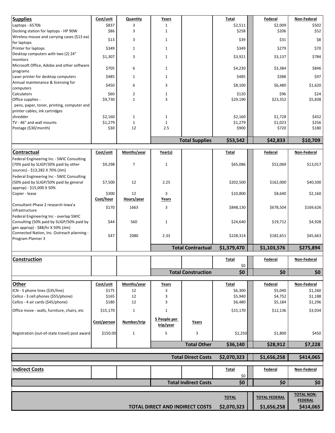| <b>Supplies</b>                                                         | Cost/unit                          | Quantity       | Years        |                           | Total        | <b>Federal</b>       | <b>Non-Federal</b> |  |
|-------------------------------------------------------------------------|------------------------------------|----------------|--------------|---------------------------|--------------|----------------------|--------------------|--|
| Laptops - 6570b                                                         | \$837                              | 3              | 1            |                           | \$2,511      | \$2,009              | \$502              |  |
| Docking station for laptops - HP 90W                                    | \$86                               | 3              | $\mathbf{1}$ |                           | \$258        | \$206                | \$52               |  |
| Wireless mouse and carrying cases (\$13 ea)                             | \$13                               | 3              | $\mathbf{1}$ |                           | \$39         | \$31                 | \$8                |  |
| for laptops                                                             |                                    |                |              |                           |              |                      |                    |  |
| Printer for laptops<br>Desktop computers with two (2) 24"               | \$349                              | $\mathbf{1}$   | $\mathbf{1}$ |                           | \$349        | \$279                | \$70               |  |
| monitors                                                                | \$1,307                            | 3              | $\mathbf{1}$ |                           | \$3,921      | \$3,137              | \$784              |  |
| Microsoft Office, Adobe and other software                              |                                    |                |              |                           |              |                      |                    |  |
| programs                                                                | \$705                              | 6              | $\mathbf{1}$ |                           | \$4,230      | \$3,384              | \$846              |  |
| Laser printer for desktop computers                                     | \$485                              | $\mathbf{1}$   | $\mathbf{1}$ |                           | \$485        | \$388                | \$97               |  |
| Annual maintenance & licensing for                                      | \$450                              | 6              | 3            |                           | \$8,100      | \$6,480              | \$1,620            |  |
| computers<br>Calculators                                                | \$60                               | $\overline{2}$ | $\mathbf 1$  |                           | \$120        | \$96                 | \$24               |  |
| Office supplies -                                                       | \$9,730                            | $\mathbf{1}$   | 3            |                           | \$29,190     | \$23,352             | \$5,838            |  |
| pens, paper, toner, printing, computer and                              |                                    |                |              |                           |              |                      |                    |  |
| printer cables, ink cartridges                                          |                                    |                |              |                           |              |                      |                    |  |
| shredder                                                                | \$2,160                            | $\mathbf{1}$   | $\mathbf 1$  |                           | \$2,160      | \$1,728              | \$432              |  |
| TV - 46" and wall mounts                                                | \$1,279                            | $\mathbf 1$    | $\mathbf{1}$ |                           | \$1,279      | \$1,023              | \$256              |  |
| Postage (\$30/month)                                                    | \$30                               | 12             | 2.5          |                           | \$900        | \$720                | \$180              |  |
|                                                                         |                                    |                |              | <b>Total Supplies</b>     | \$53,542     | \$42,833             | \$10,709           |  |
|                                                                         |                                    |                |              |                           |              |                      |                    |  |
| Contractual                                                             | Cost/unit                          | Months/year    | Year(s)      |                           | Total        | <b>Federal</b>       | Non-Federal        |  |
| Federal Engineering Inc - SWIC Consulting                               |                                    |                |              |                           |              |                      |                    |  |
| (70% paid by SLIGP/30% paid by other<br>sources) - \$13,282 X 70% (Jim) | \$9,298                            | $\overline{7}$ | $\mathbf 1$  |                           | \$65,086     | \$52,069             | \$13,017           |  |
| Federal Engineering Inc - SWIC Consulting                               |                                    |                |              |                           |              |                      |                    |  |
| (50% paid by SLIGP/50% paid by general                                  | \$7,500                            | 12             | 2.25         |                           | \$202,500    | \$162,000            | \$40,500           |  |
| approp) - \$15,000 X 50%                                                |                                    |                |              |                           |              |                      |                    |  |
| Copier - lease                                                          | \$300                              | 12             | 3            |                           | \$10,800     | \$8,640              | \$2,160            |  |
|                                                                         | Cost/hour                          | Hours/year     | Years        |                           |              |                      |                    |  |
| Consultant-Phase 2 research Iowa'a<br>infrastructure                    | \$170                              | 1663           | 3            |                           | \$848,130    | \$678,504            | \$169,626          |  |
| Federal Engineering Inc - overlap SWIC                                  |                                    |                |              |                           |              |                      |                    |  |
| Consulting (50% paid by SLIGP/50% paid by                               | \$44                               | 560            | 1            |                           | \$24,640     | \$19,712             | \$4,928            |  |
| gen approp) - \$88/hr X 50% (Jim)                                       |                                    |                |              |                           |              |                      |                    |  |
| Connected Nation, Inc. Outreach planning -                              | \$47                               | 2080           | 2.33         |                           | \$228,314    | \$182,651            | \$45,663           |  |
| Program Planner 3                                                       |                                    |                |              |                           |              |                      |                    |  |
|                                                                         |                                    |                |              | <b>Total Contractual</b>  | \$1,379,470  | \$1,103,576          | \$275,894          |  |
| <b>Construction</b>                                                     |                                    |                |              |                           | <b>Total</b> | <u>Federal</u>       | Non-Federal        |  |
|                                                                         |                                    |                |              |                           | \$0          |                      |                    |  |
|                                                                         |                                    |                |              | <b>Total Construction</b> | \$0          | \$0\$                | \$0\$              |  |
| Other                                                                   | Cost/unit                          | Months/year    | <b>Years</b> |                           | <b>Total</b> | Federal              | Non-Federal        |  |
| ICN - 5 phone lines (\$35/line)                                         | \$175                              | 12             | 3            |                           | \$6,300      | \$5,040              | \$1,260            |  |
| Cellco - 3 cell phones (\$55/phone)                                     | \$165                              | 12             | 3            |                           | \$5,940      | \$4,752              | \$1,188            |  |
| Cellco - 4 air cards (\$45/phone)                                       | \$180                              | 12             | 3            |                           | \$6,480      | \$5,184              | \$1,296            |  |
| Office move - walls, furniture, chairs, etc                             | \$15,170                           | $\mathbf{1}$   | $\mathbf{1}$ |                           | \$15,170     | \$12,136             | \$3,034            |  |
|                                                                         |                                    |                | 5 People per |                           |              |                      |                    |  |
|                                                                         | Cost/person                        | Number/trip    | trip/year    | Years                     |              |                      |                    |  |
| Registration (out-of-state travel) post award                           | \$150.00                           | $\mathbf{1}$   | 5            | 3                         | \$2,250      | \$1,800              | \$450              |  |
|                                                                         |                                    |                |              | <b>Total Other</b>        | \$36,140     | \$28,912             | \$7,228            |  |
|                                                                         |                                    |                |              |                           |              |                      |                    |  |
|                                                                         |                                    |                |              | <b>Total Direct Costs</b> | \$2,070,323  | \$1,656,258          | \$414,065          |  |
| <b>Indirect Costs</b>                                                   |                                    |                |              |                           | <b>Total</b> | Federal              | Non-Federal        |  |
|                                                                         |                                    |                |              |                           | \$0          | \$0                  | \$0                |  |
|                                                                         | \$0<br><b>Total Indirect Costs</b> |                |              |                           |              |                      |                    |  |
|                                                                         |                                    |                |              |                           |              |                      | <b>TOTAL NON-</b>  |  |
|                                                                         |                                    |                |              |                           | <b>TOTAL</b> | <b>TOTAL FEDERAL</b> | <b>FEDERAL</b>     |  |
|                                                                         | \$2,070,323                        | \$1,656,258    | \$414,065    |                           |              |                      |                    |  |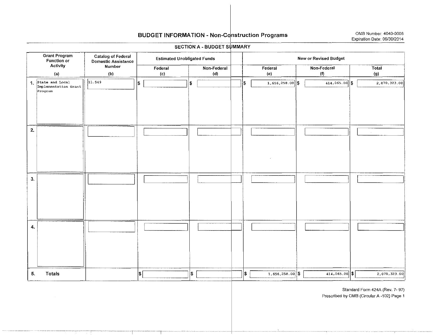# BUDGET INFORMATION - Non-Construction Programs OMB Number: 4040-0006

#### SECTION A - BUDGET SUMMARY

| <b>Grant Program</b><br>Function or                  | <b>Catalog of Federal</b><br><b>Domestic Assistance</b> | <b>Estimated Unobligated Funds</b> |                    | New or Revised Budget |                   |                    |              |  |  |
|------------------------------------------------------|---------------------------------------------------------|------------------------------------|--------------------|-----------------------|-------------------|--------------------|--------------|--|--|
| <b>Activity</b><br>(a)                               | Number<br>(b)                                           | Federal<br>(c)                     | Non-Federal<br>(d) |                       | Federal<br>(e)    | Non-Federal<br>(1) | Total<br>(g) |  |  |
| 1 State and Local<br>Implementation Grant<br>Program | 11.549                                                  | \$                                 | ls.                | \$                    | $1,656,258.00$ \$ | $414,065.00$ \$    | 2,070,323.00 |  |  |
| $\mathbf{z}$                                         |                                                         |                                    |                    |                       |                   |                    |              |  |  |
| 3.                                                   |                                                         |                                    |                    |                       |                   |                    |              |  |  |
| 4.                                                   |                                                         |                                    |                    |                       |                   |                    |              |  |  |
| Totals<br>5.                                         |                                                         | $ \mathsf{s} $                     | ls.                | ∣\$∶                  | $1,656,258.00$ \$ | $414,065.00$ \$    | 2,070,323.00 |  |  |

Standard Form 424A (Rev. 7- 97)

Prescribed by OMS (Circular A -102) Page 1

-·---··--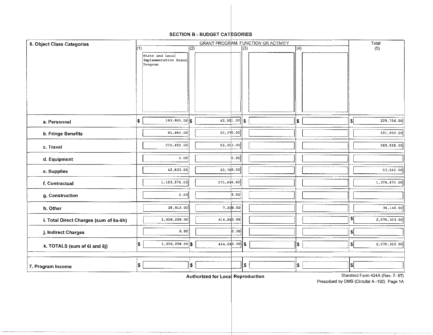#### SECTION B - BUDGET CATEGORIES

| 6. Object Class Categories             |         |                                         | Total |                                   |     |              |      |                                |
|----------------------------------------|---------|-----------------------------------------|-------|-----------------------------------|-----|--------------|------|--------------------------------|
|                                        | (1)     |                                         | (2)   |                                   | (3) | $\sqrt{(4)}$ |      | (5)                            |
|                                        | Program | State and Local<br>Implementation Grant |       |                                   |     |              |      |                                |
| a. Personnel                           | \$      | $183,805.00$ \$                         |       | 45,951.00                         | \$  | \$           | \$   | 229,756.00                     |
| b. Fringe Benefits                     |         | 81,480.00                               |       | 20, 370.00                        |     |              |      | 101,850.00                     |
| c. Travel                              |         | 215,652.00                              |       | 53, 913.00                        |     |              |      | 269,565.00                     |
| d. Equipment                           |         | 0.00                                    |       | 0.00                              |     |              |      |                                |
| e. Supplies                            |         | 42,833.00                               |       | 10,709.00                         |     |              |      | 53,542.00                      |
| f. Contractual                         |         | 1,103,576.00                            |       | 275,894.00                        |     |              |      | 1,379,470.00                   |
| g. Construction                        |         | 0.00                                    |       | 0.00                              |     |              |      |                                |
| h. Other                               |         | 28,912.00                               |       | 7,228.00                          |     |              |      | 36,140.00                      |
| i. Total Direct Charges (sum of 6a-6h) |         | 1,656,258.00                            |       | 414,065.00                        |     |              | \$   | 2,070.323.00                   |
| j. Indirect Charges                    |         | 0.00                                    |       | 0.00                              |     |              | -\$  |                                |
| k. TOTALS (sum of 6i and 6j)           | \$      | $1,656,258.00$ \$                       |       | $414.065.00$ \$                   |     | \$           | ึ\$∣ | 2,070.323.00                   |
| 7. Program Income                      | \$      |                                         | \$    | Authorized for Local Reproduction | \$  | \$           | I\$I | Standard Form 424A (Rev. 7-97) |

Prescribed by OMB (Circular A-102) Page 1A